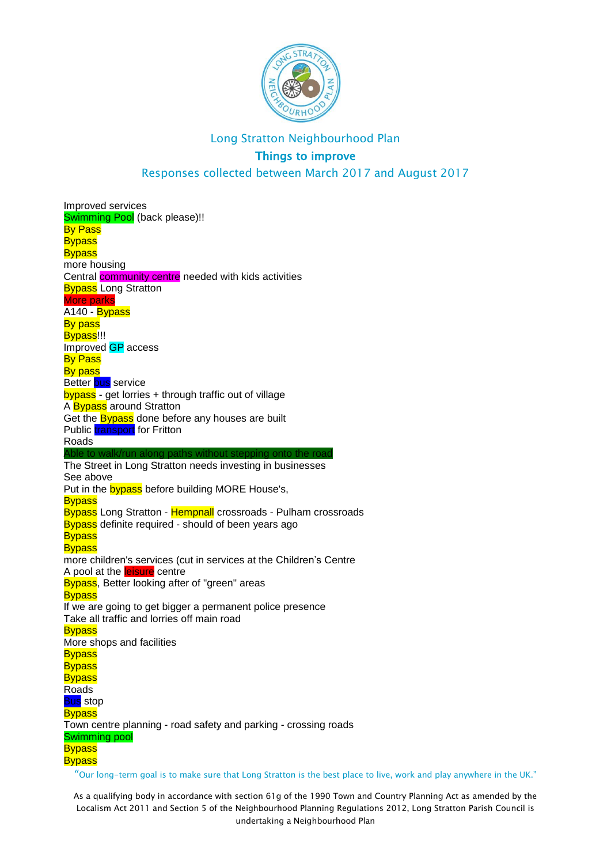

# Long Stratton Neighbourhood Plan Things to improve

Responses collected between March 2017 and August 2017

"Our long-term goal is to make sure that Long Stratton is the best place to live, work and play anywhere in the UK." Improved services Swimming Pool (back please)!! By Pass **Bypass Bypass** more housing Central community centre needed with kids activities **Bypass Long Stratton** More parks A140 - Bypass **By pass** Bypass<sup>!!!</sup> Improved GP access **By Pass** By pass Better bus service bypass - get lorries + through traffic out of village A Bypass around Stratton Get the **Bypass** done before any houses are built Public transport for Fritton Roads Able to walk/run along paths without stepping onto the road The Street in Long Stratton needs investing in businesses See above Put in the **bypass** before building MORE House's, **Bypass** Bypass Long Stratton - Hempnall crossroads - Pulham crossroads **Bypass** definite required - should of been years ago **Bypass Bypass** more children's services (cut in services at the Children's Centre A pool at the **leisure** centre **Bypass**, Better looking after of "green" areas **Bypass** If we are going to get bigger a permanent police presence Take all traffic and lorries off main road **Bypass** More shops and facilities **Bypass Bypass Bypass Roads Bus** stop **Bypass** Town centre planning - road safety and parking - crossing roads Swimming pool **Bypass Bypass**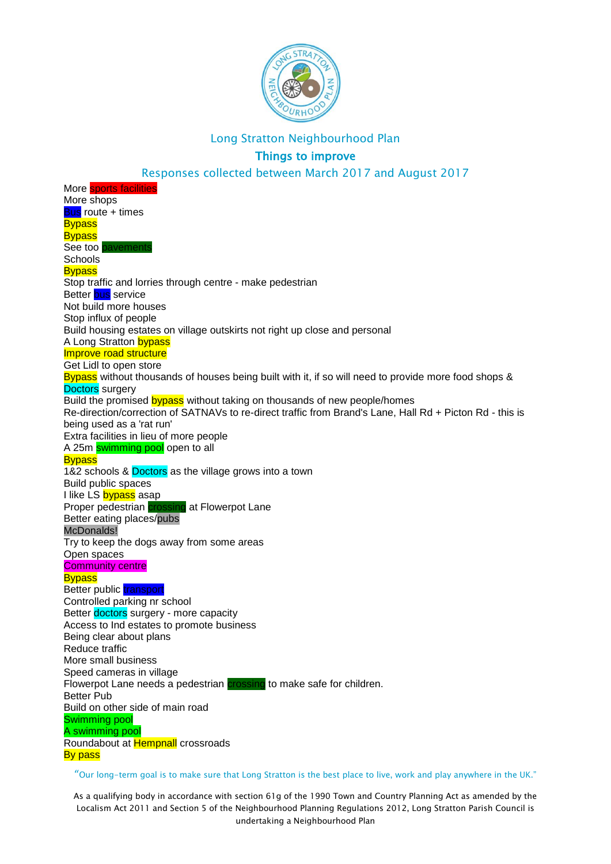

# Things to improve

Responses collected between March 2017 and August 2017

More **sports facilities** More shops **Bus** route + times **Bypass Bypass** See too pavement **Schools Bypass** Stop traffic and lorries through centre - make pedestrian Better bus service Not build more houses Stop influx of people Build housing estates on village outskirts not right up close and personal A Long Stratton bypass Improve road structure Get Lidl to open store Bypass without thousands of houses being built with it, if so will need to provide more food shops & Doctors surgery Build the promised bypass without taking on thousands of new people/homes Re-direction/correction of SATNAVs to re-direct traffic from Brand's Lane, Hall Rd + Picton Rd - this is being used as a 'rat run' Extra facilities in lieu of more people A 25m swimming pool open to all **Bypass** 1&2 schools & Doctors as the village grows into a town Build public spaces I like LS bypass asap Proper pedestrian **crossing** at Flowerpot Lane Better eating places/pubs McDonalds! Try to keep the dogs away from some areas Open spaces **Community centre Bypass** Better public **transport** Controlled parking nr school Better doctors surgery - more capacity Access to Ind estates to promote business Being clear about plans Reduce traffic More small business Speed cameras in village Flowerpot Lane needs a pedestrian crossing to make safe for children. Better Pub Build on other side of main road Swimming pool A swimming pool Roundabout at Hempnall crossroads **By pass** 

"Our long-term goal is to make sure that Long Stratton is the best place to live, work and play anywhere in the UK."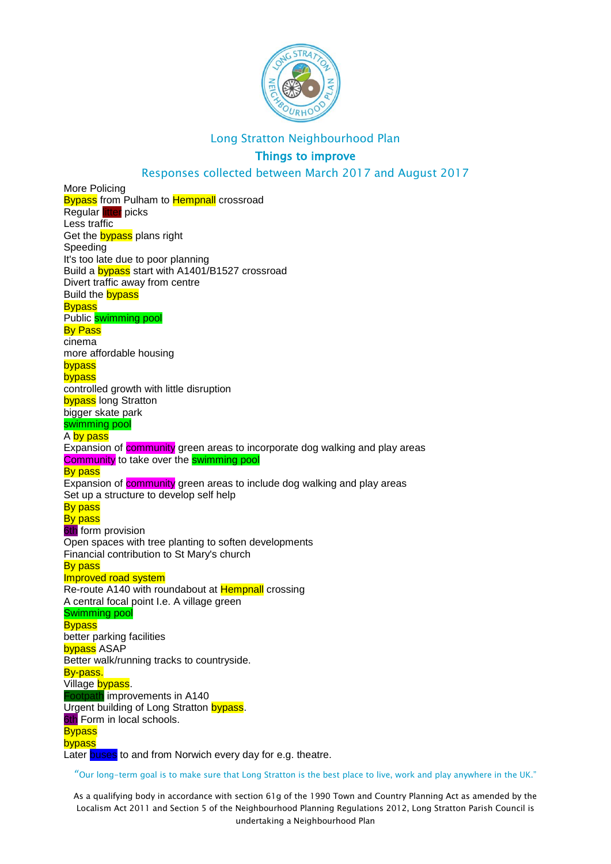

# Things to improve

### Responses collected between March 2017 and August 2017

More Policing **Bypass** from Pulham to **Hempnall** crossroad Regular litter picks Less traffic Get the **bypass** plans right Speeding It's too late due to poor planning Build a bypass start with A1401/B1527 crossroad Divert traffic away from centre Build the **bypass Bypass** Public swimming pool By Pass cinema more affordable housing bypass bypass controlled growth with little disruption **bypass** long Stratton bigger skate park swimming pool A by pass Expansion of **community** green areas to incorporate dog walking and play areas Community to take over the swimming pool By pass Expansion of community green areas to include dog walking and play areas Set up a structure to develop self help **By pass By pass 6th** form provision Open spaces with tree planting to soften developments Financial contribution to St Mary's church By pass Improved road system Re-route A140 with roundabout at Hempnall crossing A central focal point I.e. A village green Swimming pool **Bypass** better parking facilities bypass ASAP Better walk/running tracks to countryside. By-pass. Village bypass. Footpath improvements in A140 Urgent building of Long Stratton bypass. **6th Form in local schools. Bypass** bypass Later buses to and from Norwich every day for e.g. theatre.

"Our long-term goal is to make sure that Long Stratton is the best place to live, work and play anywhere in the UK."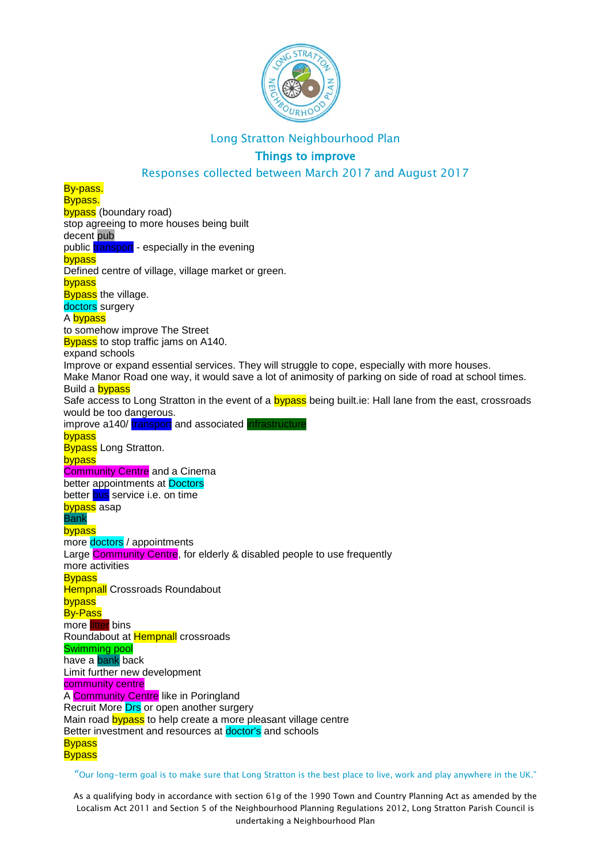

# Things to improve

### Responses collected between March 2017 and August 2017

By-pass. Bypass. bypass (boundary road) stop agreeing to more houses being built decent pub public transport - especially in the evening bypass Defined centre of village, village market or green. bypass **Bypass** the village. doctors surgery A bypass to somehow improve The Street Bypass to stop traffic jams on A140. expand schools Improve or expand essential services. They will struggle to cope, especially with more houses. Make Manor Road one way, it would save a lot of animosity of parking on side of road at school times. Build a bypass Safe access to Long Stratton in the event of a bypass being built.ie: Hall lane from the east, crossroads would be too dangerous. improve a140/transport and associated infrastructure bypass **Bypass** Long Stratton. bypass **Community Centre** and a Cinema better appointments at Doctors better bus service i.e. on time bypass asap Bank bypass more doctors / appointments Large Community Centre, for elderly & disabled people to use frequently more activities **Bypass Hempnall Crossroads Roundabout** bypass By-Pass more litter bins Roundabout at Hempnall crossroads Swimming pool have a bank back Limit further new development community centre A Community Centre like in Poringland Recruit More Drs or open another surgery Main road bypass to help create a more pleasant village centre Better investment and resources at doctor's and schools **Bypass Bypass** 

#### "Our long-term goal is to make sure that Long Stratton is the best place to live, work and play anywhere in the UK."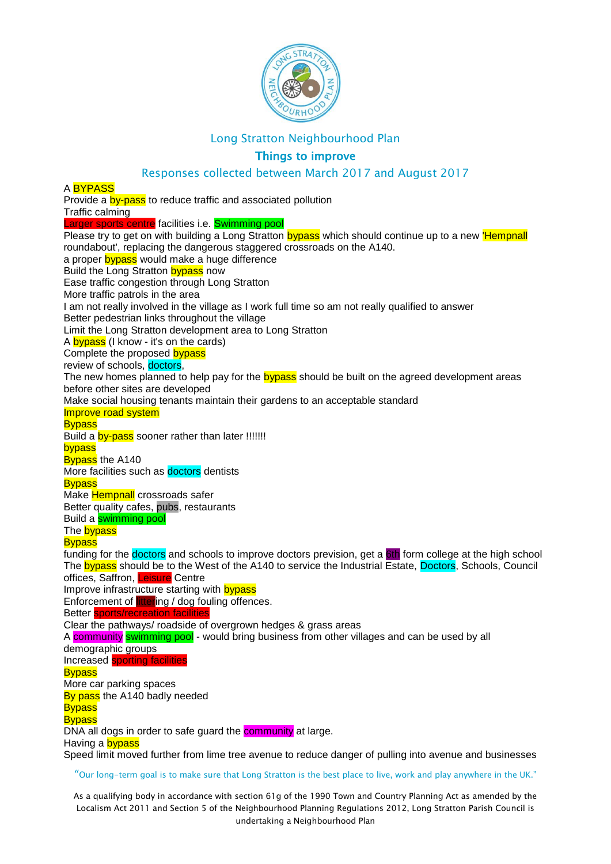

# Things to improve

### Responses collected between March 2017 and August 2017

#### A RYPASS

Provide a **by-pass** to reduce traffic and associated pollution Traffic calming Larger sports centre facilities i.e. Swimming pool Please try to get on with building a Long Stratton bypass which should continue up to a new Hempnall roundabout', replacing the dangerous staggered crossroads on the A140. a proper bypass would make a huge difference Build the Long Stratton bypass now Ease traffic congestion through Long Stratton More traffic patrols in the area I am not really involved in the village as I work full time so am not really qualified to answer Better pedestrian links throughout the village Limit the Long Stratton development area to Long Stratton A bypass (I know - it's on the cards) Complete the proposed bypass review of schools, doctors, The new homes planned to help pay for the **bypass** should be built on the agreed development areas before other sites are developed Make social housing tenants maintain their gardens to an acceptable standard Improve road system **Bypass** Build a **by-pass** sooner rather than later !!!!!!! bypass **Bypass** the A140 More facilities such as **doctors** dentists **Bypass** Make **Hempnall** crossroads safer Better quality cafes, pubs, restaurants Build a swimming pool The **bypass Bypass** funding for the **doctors** and schools to improve doctors prevision, get a 6th form college at the high school The bypass should be to the West of the A140 to service the Industrial Estate, Doctors, Schools, Council offices, Saffron, Leisure Centre Improve infrastructure starting with **bypass** Enforcement of littering / dog fouling offences. Better sports/recreation facilities Clear the pathways/ roadside of overgrown hedges & grass areas A community swimming pool - would bring business from other villages and can be used by all demographic groups Increased sporting facilities **Bypass** More car parking spaces By pass the A140 badly needed **Bypass Bypass** DNA all dogs in order to safe guard the **community** at large. Having a **bypass** Speed limit moved further from lime tree avenue to reduce danger of pulling into avenue and businesses

"Our long-term goal is to make sure that Long Stratton is the best place to live, work and play anywhere in the UK."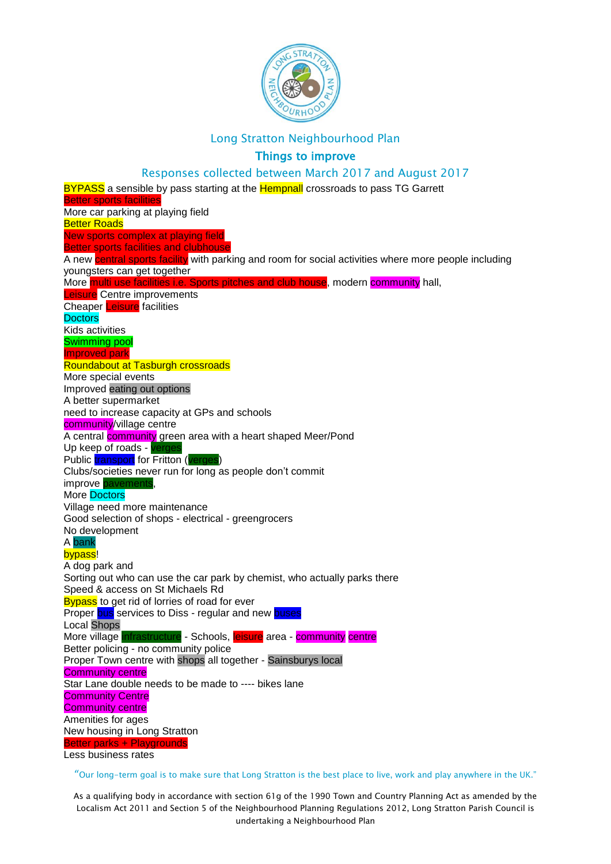

#### Things to improve

#### Responses collected between March 2017 and August 2017

BYPASS a sensible by pass starting at the **Hempnall** crossroads to pass TG Garrett Better sports facilities More car parking at playing field **Better Roads** New sports complex at playing field Better sports facilities and clubhouse A new central sports facility with parking and room for social activities where more people including youngsters can get together More multi use facilities i.e. Sports pitches and club house, modern community hall, Leisure Centre improvements Cheaper Leisure facilities **Doctors** Kids activities Swimming pool Improved park Roundabout at Tasburgh crossroads More special events Improved eating out options A better supermarket need to increase capacity at GPs and schools community/village centre A central community green area with a heart shaped Meer/Pond Up keep of roads - verge Public transport for Fritton (verges) Clubs/societies never run for long as people don't commit improve pavements More Doctors Village need more maintenance Good selection of shops - electrical - greengrocers No development A bank bypass! A dog park and Sorting out who can use the car park by chemist, who actually parks there Speed & access on St Michaels Rd Bypass to get rid of lorries of road for ever Proper bus services to Diss - regular and new buses Local Shops More village infrastructure - Schools, leisure area - community centre Better policing - no community police Proper Town centre with shops all together - Sainsburys local Community centre Star Lane double needs to be made to ---- bikes lane **Community Centre** Community centre Amenities for ages New housing in Long Stratton Better parks + Playgrounds Less business rates

"Our long-term goal is to make sure that Long Stratton is the best place to live, work and play anywhere in the UK."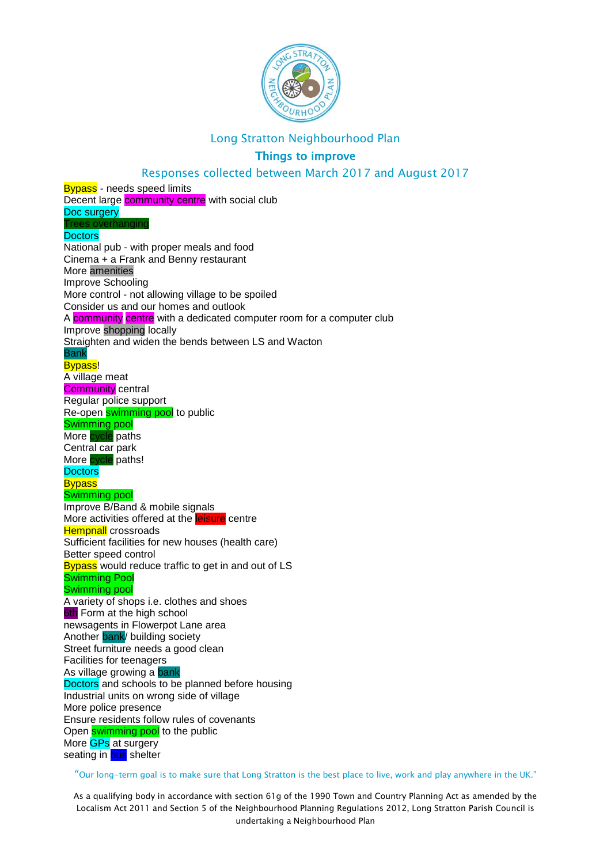

# Things to improve

Responses collected between March 2017 and August 2017

**Bypass** - needs speed limits Decent large **community centre** with social club Doc surgery s overhanging **Doctors** National pub - with proper meals and food Cinema + a Frank and Benny restaurant More amenities Improve Schooling More control - not allowing village to be spoiled Consider us and our homes and outlook A community centre with a dedicated computer room for a computer club Improve shopping locally Straighten and widen the bends between LS and Wacton Bank Bypass! A village meat Community central Regular police support Re-open swimming pool to public Swimming pool More cycle paths Central car park More cycle paths! **Doctors Bypass** Swimming pool Improve B/Band & mobile signals More activities offered at the **leisure** centre **Hempnall** crossroads Sufficient facilities for new houses (health care) Better speed control Bypass would reduce traffic to get in and out of LS Swimming Pool Swimming pool A variety of shops i.e. clothes and shoes **6th Form at the high school** newsagents in Flowerpot Lane area Another bank/ building society Street furniture needs a good clean Facilities for teenagers As village growing a bank Doctors and schools to be planned before housing Industrial units on wrong side of village More police presence Ensure residents follow rules of covenants Open swimming pool to the public More **GPs** at surgery seating in **bus** shelter

"Our long-term goal is to make sure that Long Stratton is the best place to live, work and play anywhere in the UK."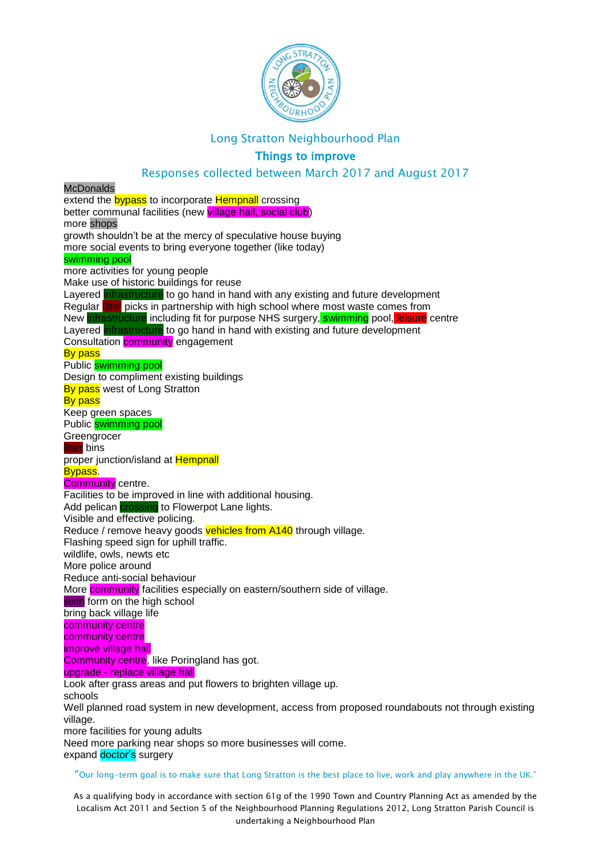

# Things to improve

#### Responses collected between March 2017 and August 2017

"Our long-term goal is to make sure that Long Stratton is the best place to live, work and play anywhere in the UK." **McDonalds** extend the **bypass** to incorporate **Hempnall** crossing better communal facilities (new village hall, social club) more shops growth shouldn't be at the mercy of speculative house buying more social events to bring everyone together (like today) swimming pool more activities for young people Make use of historic buildings for reuse Layered infrastructure to go hand in hand with any existing and future development Regular litter picks in partnership with high school where most waste comes from New infrastructure including fit for purpose NHS surgery, swimming pool, leisure centre Layered infrastructure to go hand in hand with existing and future development Consultation **community** engagement **By pass** Public swimming pool Design to compliment existing buildings By pass west of Long Stratton **By pass** Keep green spaces Public swimming pool **Greengrocer** itter bins proper junction/island at Hempnall **Bypass Community** centre. Facilities to be improved in line with additional housing. Add pelican *crossing* to Flowerpot Lane lights. Visible and effective policing. Reduce / remove heavy goods vehicles from A140 through village. Flashing speed sign for uphill traffic. wildlife, owls, newts etc More police around Reduce anti-social behaviour More **community** facilities especially on eastern/southern side of village. sixth form on the high school bring back village life community centre community centre improve village hall Community centre, like Poringland has got. upgrade - replace village hall Look after grass areas and put flowers to brighten village up. schools Well planned road system in new development, access from proposed roundabouts not through existing village. more facilities for young adults Need more parking near shops so more businesses will come. expand doctor's surgery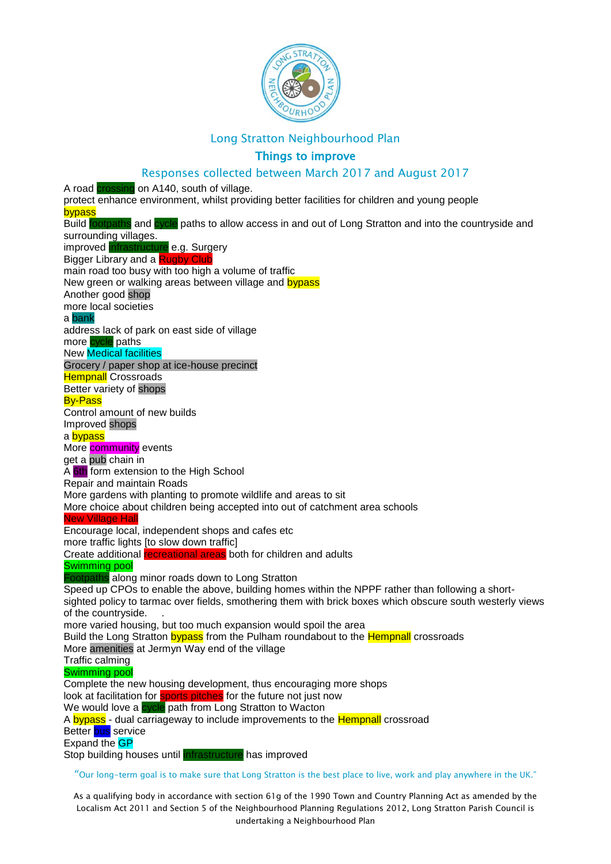

### Things to improve

Responses collected between March 2017 and August 2017 A road crossing on A140, south of village. protect enhance environment, whilst providing better facilities for children and young people bypass Build footpaths and cycle paths to allow access in and out of Long Stratton and into the countryside and surrounding villages. improved infrastructure e.g. Surgery Bigger Library and a Rugby Club main road too busy with too high a volume of traffic New green or walking areas between village and bypass Another good shop more local societies a bank address lack of park on east side of village more cycle paths New Medical facilities Grocery / paper shop at ice-house precinct **Hempnall Crossroads** Better variety of shops By-Pass Control amount of new builds Improved shops a bypass More community events get a pub chain in A 6th form extension to the High School Repair and maintain Roads More gardens with planting to promote wildlife and areas to sit More choice about children being accepted into out of catchment area schools New Village Hall Encourage local, independent shops and cafes etc more traffic lights [to slow down traffic] Create additional recreational areas both for children and adults Swimming pool Footpaths along minor roads down to Long Stratton Speed up CPOs to enable the above, building homes within the NPPF rather than following a shortsighted policy to tarmac over fields, smothering them with brick boxes which obscure south westerly views of the countryside. . more varied housing, but too much expansion would spoil the area Build the Long Stratton bypass from the Pulham roundabout to the **Hempnall** crossroads More amenities at Jermyn Way end of the village Traffic calming Swimming pool Complete the new housing development, thus encouraging more shops look at facilitation for **sports pitches** for the future not just now We would love a cycle path from Long Stratton to Wacton A bypass - dual carriageway to include improvements to the Hempnall crossroad Better bus service Expand the **GP** 

Stop building houses until infrastructure has improved

"Our long-term goal is to make sure that Long Stratton is the best place to live, work and play anywhere in the UK."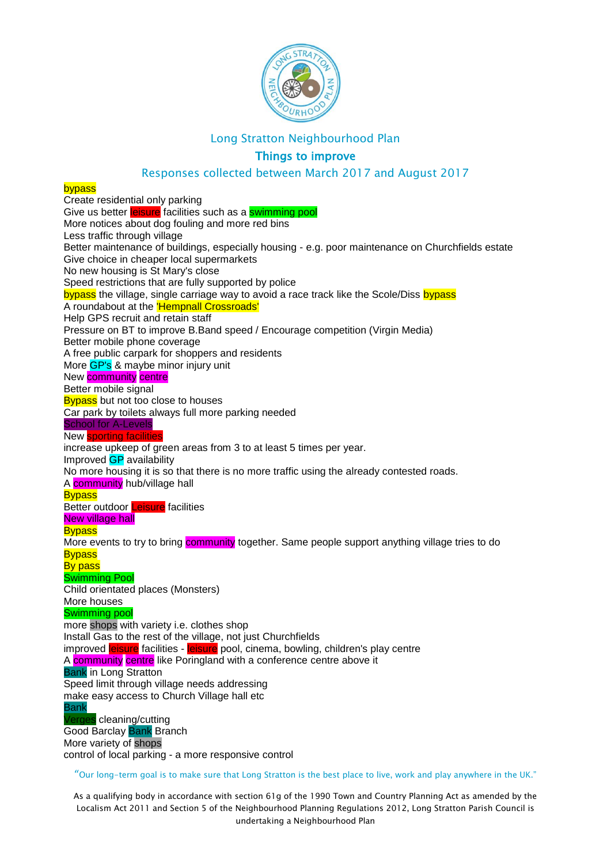

# Things to improve

### Responses collected between March 2017 and August 2017

#### bypass

Create residential only parking Give us better leisure facilities such as a swimming pool More notices about dog fouling and more red bins Less traffic through village Better maintenance of buildings, especially housing - e.g. poor maintenance on Churchfields estate Give choice in cheaper local supermarkets No new housing is St Mary's close Speed restrictions that are fully supported by police bypass the village, single carriage way to avoid a race track like the Scole/Diss bypass A roundabout at the 'Hempnall Crossroads' Help GPS recruit and retain staff Pressure on BT to improve B.Band speed / Encourage competition (Virgin Media) Better mobile phone coverage A free public carpark for shoppers and residents More GP's & maybe minor injury unit New community centre Better mobile signal **Bypass** but not too close to houses Car park by toilets always full more parking needed School for A-Levels New sporting facilities increase upkeep of green areas from 3 to at least 5 times per year. Improved GP availability No more housing it is so that there is no more traffic using the already contested roads. A community hub/village hall **Bypass** Better outdoor **Leisure** facilities New village hall **Bypass** More events to try to bring community together. Same people support anything village tries to do **Bypass By pass** Swimming Pool Child orientated places (Monsters) More houses Swimming pool more shops with variety i.e. clothes shop Install Gas to the rest of the village, not just Churchfields improved *eisure* facilities - *eisure* pool, cinema, bowling, children's play centre A community centre like Poringland with a conference centre above it Bank in Long Stratton Speed limit through village needs addressing make easy access to Church Village hall etc Bank erges cleaning/cutting Good Barclay Bank Branch More variety of shops control of local parking - a more responsive control

"Our long-term goal is to make sure that Long Stratton is the best place to live, work and play anywhere in the UK."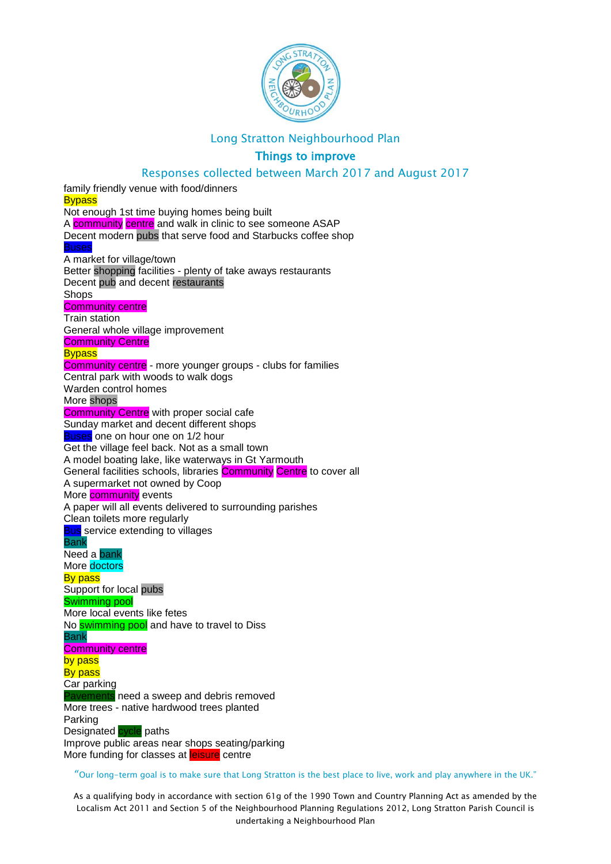

# Things to improve

### Responses collected between March 2017 and August 2017

family friendly venue with food/dinners **Bypass** Not enough 1st time buying homes being built A **community** centre and walk in clinic to see someone ASAP Decent modern pubs that serve food and Starbucks coffee shop A market for village/town Better shopping facilities - plenty of take aways restaurants Decent pub and decent restaurants Shops Community centre Train station General whole village improvement **Community Centre Bypass** Community centre - more younger groups - clubs for families Central park with woods to walk dogs Warden control homes More shops **Community Centre** with proper social cafe Sunday market and decent different shops Buses one on hour one on 1/2 hour Get the village feel back. Not as a small town A model boating lake, like waterways in Gt Yarmouth General facilities schools, libraries Community Centre to cover all A supermarket not owned by Coop More **community** events A paper will all events delivered to surrounding parishes Clean toilets more regularly **Bus** service extending to villages Bank Need a bank More doctors By pass Support for local pubs Swimming pool More local events like fetes No **swimming pool** and have to travel to Diss Bank Community centre by pass **By pass** Car parking need a sweep and debris removed More trees - native hardwood trees planted Parking Designated cycle paths Improve public areas near shops seating/parking More funding for classes at **leisure** centre

"Our long-term goal is to make sure that Long Stratton is the best place to live, work and play anywhere in the UK."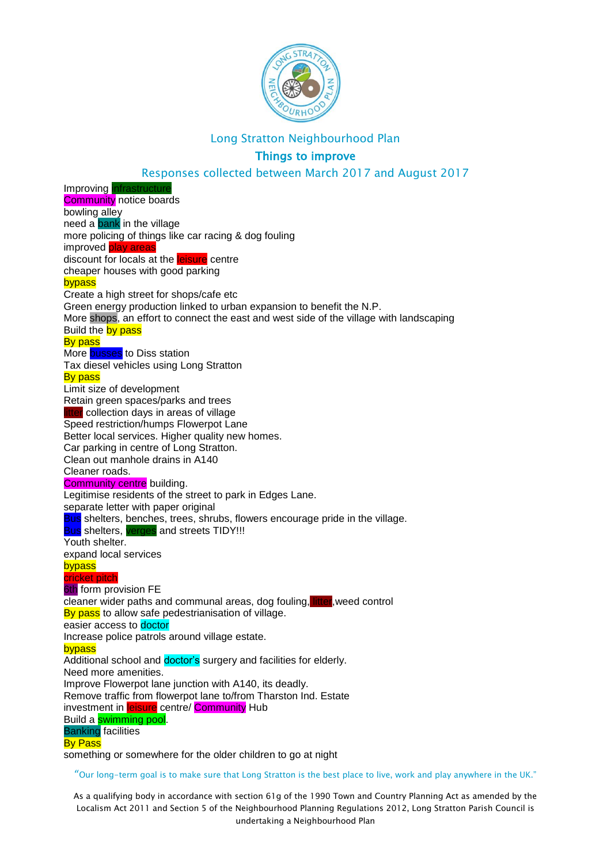

# Things to improve

#### Responses collected between March 2017 and August 2017

Improving *infrastruct* **Community** notice boards bowling alley need a **bank** in the village more policing of things like car racing & dog fouling improved **play areas** discount for locals at the leisure centre cheaper houses with good parking bypass Create a high street for shops/cafe etc Green energy production linked to urban expansion to benefit the N.P. More shops, an effort to connect the east and west side of the village with landscaping Build the by pass By pass More **busses** to Diss station Tax diesel vehicles using Long Stratton By pass Limit size of development Retain green spaces/parks and trees tter collection days in areas of village Speed restriction/humps Flowerpot Lane Better local services. Higher quality new homes. Car parking in centre of Long Stratton. Clean out manhole drains in A140 Cleaner roads. **Community centre** building. Legitimise residents of the street to park in Edges Lane. separate letter with paper original Bus shelters, benches, trees, shrubs, flowers encourage pride in the village. **Bus** shelters, verges and streets TIDY!!! Youth shelter. expand local services bypass cricket pitch **6th** form provision FE cleaner wider paths and communal areas, dog fouling, litter,weed control By pass to allow safe pedestrianisation of village. easier access to doctor Increase police patrols around village estate. **bypass** Additional school and doctor's surgery and facilities for elderly. Need more amenities. Improve Flowerpot lane junction with A140, its deadly. Remove traffic from flowerpot lane to/from Tharston Ind. Estate investment in leisure centre/ Community Hub Build a **swimming pool**. Banking facilities By Pass something or somewhere for the older children to go at night

"Our long-term goal is to make sure that Long Stratton is the best place to live, work and play anywhere in the UK."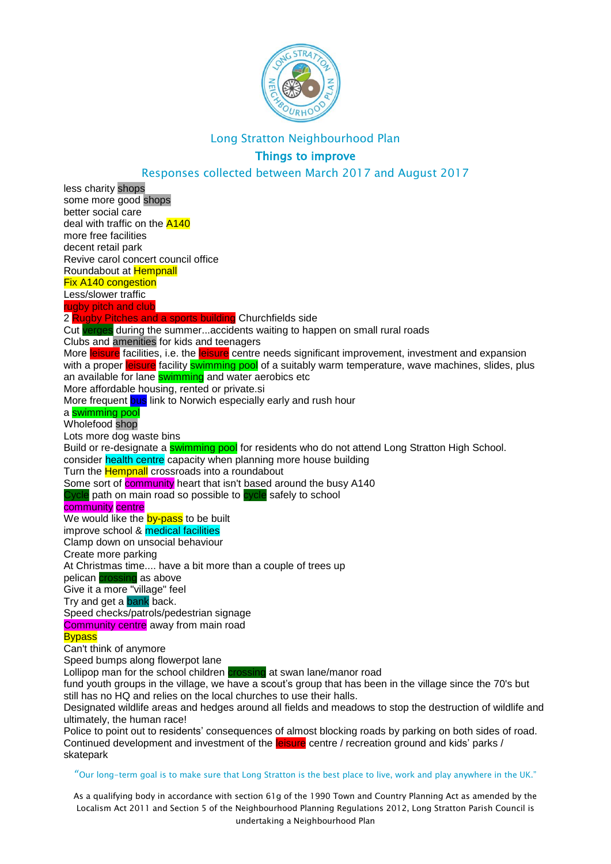

# Things to improve

### Responses collected between March 2017 and August 2017

less charity shops some more good shops better social care deal with traffic on the A140 more free facilities decent retail park Revive carol concert council office Roundabout at Hempnall Fix A140 congestion Less/slower traffic rugby pitch and club 2 Rugby Pitches and a sports building Churchfields side Cut verges during the summer...accidents waiting to happen on small rural roads Clubs and amenities for kids and teenagers More leisure facilities, i.e. the leisure centre needs significant improvement, investment and expansion with a proper leisure facility swimming pool of a suitably warm temperature, wave machines, slides, plus an available for lane **swimming** and water aerobics etc More affordable housing, rented or private.si More frequent bus link to Norwich especially early and rush hour a swimming pool Wholefood shop Lots more dog waste bins Build or re-designate a **swimming pool** for residents who do not attend Long Stratton High School. consider health centre capacity when planning more house building Turn the **Hempnall** crossroads into a roundabout Some sort of **community** heart that isn't based around the busy A140 Cycle path on main road so possible to cycle safely to school community centre We would like the **by-pass** to be built improve school & medical facilities Clamp down on unsocial behaviour Create more parking At Christmas time.... have a bit more than a couple of trees up pelican **crossing** as above Give it a more "village" feel Try and get a bank back. Speed checks/patrols/pedestrian signage Community centre away from main road **Bypass** Can't think of anymore Speed bumps along flowerpot lane Lollipop man for the school children crossing at swan lane/manor road fund youth groups in the village, we have a scout's group that has been in the village since the 70's but still has no HQ and relies on the local churches to use their halls. Designated wildlife areas and hedges around all fields and meadows to stop the destruction of wildlife and ultimately, the human race! Police to point out to residents' consequences of almost blocking roads by parking on both sides of road. Continued development and investment of the leisure centre / recreation ground and kids' parks / skatepark

#### "Our long-term goal is to make sure that Long Stratton is the best place to live, work and play anywhere in the UK."